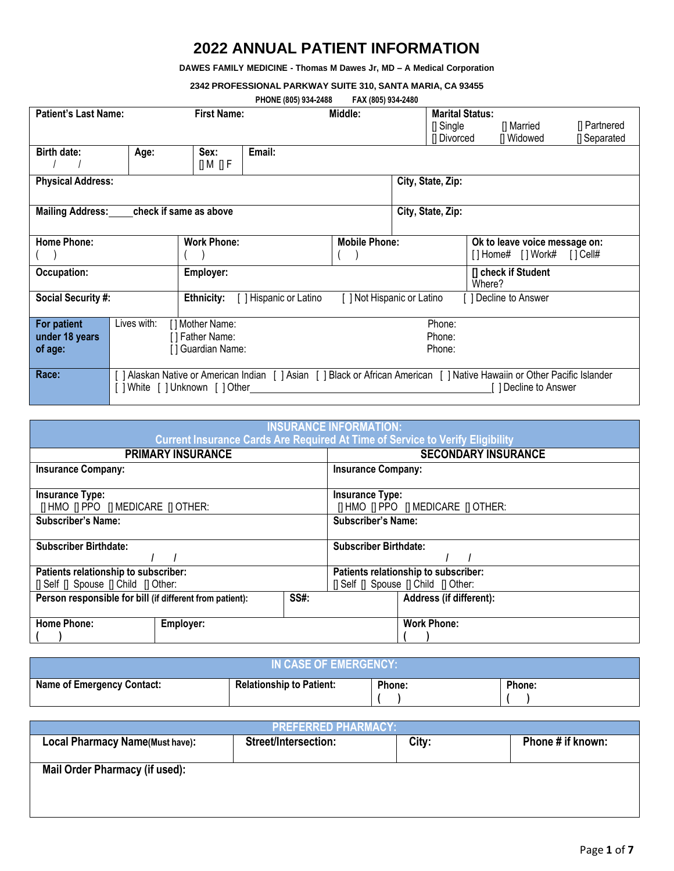# **2022 ANNUAL PATIENT INFORMATION**

**DAWES FAMILY MEDICINE - Thomas M Dawes Jr, MD – A Medical Corporation**

**2342 PROFESSIONAL PARKWAY SUITE 310, SANTA MARIA, CA 93455**

| PHONE (805) 934-2488 |  | FAX (805) 934-2480 |
|----------------------|--|--------------------|
|                      |  |                    |

|                                         |                 |                             | <b>PHUNE (003) 934-2400</b>                                                                                              | <b>FAA (003) 934-2400</b> |  |                        |        |                               |                  |
|-----------------------------------------|-----------------|-----------------------------|--------------------------------------------------------------------------------------------------------------------------|---------------------------|--|------------------------|--------|-------------------------------|------------------|
| <b>Patient's Last Name:</b>             |                 | <b>First Name:</b>          |                                                                                                                          | Middle:                   |  | <b>Marital Status:</b> |        |                               |                  |
|                                         |                 |                             |                                                                                                                          |                           |  | $\prod$ Single         |        | [] Married                    | [] Partnered     |
|                                         |                 |                             |                                                                                                                          |                           |  | [] Divorced            |        | [] Widowed                    | <b>Separated</b> |
|                                         |                 |                             |                                                                                                                          |                           |  |                        |        |                               |                  |
| Birth date:                             | Age:            | Sex:                        | Email:                                                                                                                   |                           |  |                        |        |                               |                  |
|                                         |                 | [] M [] F                   |                                                                                                                          |                           |  |                        |        |                               |                  |
| <b>Physical Address:</b>                |                 |                             |                                                                                                                          |                           |  | City, State, Zip:      |        |                               |                  |
|                                         |                 |                             |                                                                                                                          |                           |  |                        |        |                               |                  |
| Mailing Address: check if same as above |                 |                             |                                                                                                                          |                           |  | City, State, Zip:      |        |                               |                  |
|                                         |                 |                             |                                                                                                                          |                           |  |                        |        |                               |                  |
|                                         |                 |                             |                                                                                                                          |                           |  |                        |        |                               |                  |
| <b>Home Phone:</b>                      |                 | <b>Work Phone:</b>          |                                                                                                                          | <b>Mobile Phone:</b>      |  |                        |        | Ok to leave voice message on: |                  |
|                                         |                 |                             |                                                                                                                          |                           |  |                        |        | [] Home# [] Work# [] Cell#    |                  |
| Occupation:                             |                 | Employer:                   |                                                                                                                          |                           |  |                        |        | [] check if Student           |                  |
|                                         |                 |                             |                                                                                                                          |                           |  |                        | Where? |                               |                  |
| <b>Social Security #:</b>               |                 | Ethnicity:                  | [ ] Hispanic or Latino                                                                                                   | 1 Not Hispanic or Latino  |  |                        |        | Decline to Answer             |                  |
|                                         |                 |                             |                                                                                                                          |                           |  |                        |        |                               |                  |
| For patient                             | Lives with:     | [] Mother Name:             |                                                                                                                          |                           |  | Phone:                 |        |                               |                  |
|                                         |                 |                             |                                                                                                                          |                           |  |                        |        |                               |                  |
| under 18 years                          | [] Father Name: |                             |                                                                                                                          | Phone:                    |  |                        |        |                               |                  |
| of age:                                 |                 | [] Guardian Name:<br>Phone: |                                                                                                                          |                           |  |                        |        |                               |                  |
|                                         |                 |                             |                                                                                                                          |                           |  |                        |        |                               |                  |
| Race:                                   |                 |                             | ] Alaskan Native or American Indian [ ] Asian [ ] Black or African American [ ] Native Hawaiin or Other Pacific Islander |                           |  |                        |        |                               |                  |
|                                         |                 | White [ ] Unknown [ ] Other |                                                                                                                          |                           |  |                        |        | Decline to Answer             |                  |
|                                         |                 |                             |                                                                                                                          |                           |  |                        |        |                               |                  |

| <b>INSURANCE INFORMATION:</b><br><b>Current Insurance Cards Are Required At Time of Service to Verify Eligibility</b> |      |                                            |  |  |  |
|-----------------------------------------------------------------------------------------------------------------------|------|--------------------------------------------|--|--|--|
| <b>PRIMARY INSURANCE</b>                                                                                              |      | <b>SECONDARY INSURANCE</b>                 |  |  |  |
| <b>Insurance Company:</b>                                                                                             |      | <b>Insurance Company:</b>                  |  |  |  |
| <b>Insurance Type:</b>                                                                                                |      | <b>Insurance Type:</b>                     |  |  |  |
| [  HMO    PPO    MEDICARE    OTHER:                                                                                   |      | <b>[I HMO II PPO II MEDICARE II OTHER:</b> |  |  |  |
| <b>Subscriber's Name:</b>                                                                                             |      | <b>Subscriber's Name:</b>                  |  |  |  |
| <b>Subscriber Birthdate:</b>                                                                                          |      | <b>Subscriber Birthdate:</b>               |  |  |  |
|                                                                                                                       |      |                                            |  |  |  |
| Patients relationship to subscriber:                                                                                  |      | Patients relationship to subscriber:       |  |  |  |
| $\Box$ Self $\Box$ Spouse $\Box$ Child $\Box$ Other:                                                                  |      | [  Self    Spouse    Child    Other:       |  |  |  |
| Person responsible for bill (if different from patient):                                                              | SS#: | Address (if different):                    |  |  |  |
|                                                                                                                       |      |                                            |  |  |  |
| <b>Home Phone:</b><br>Employer:                                                                                       |      | <b>Work Phone:</b>                         |  |  |  |
|                                                                                                                       |      |                                            |  |  |  |

| IN CASE OF EMERGENCY:             |                                 |        |        |  |  |  |  |
|-----------------------------------|---------------------------------|--------|--------|--|--|--|--|
| <b>Name of Emergency Contact:</b> | <b>Relationship to Patient:</b> | Phone: | Phone: |  |  |  |  |

| <b>PREFERRED PHARMACY:</b>             |                             |       |                   |  |  |  |  |
|----------------------------------------|-----------------------------|-------|-------------------|--|--|--|--|
| <b>Local Pharmacy Name(Must have):</b> | <b>Street/Intersection:</b> | City: | Phone # if known: |  |  |  |  |
|                                        |                             |       |                   |  |  |  |  |
| <b>Mail Order Pharmacy (if used):</b>  |                             |       |                   |  |  |  |  |
|                                        |                             |       |                   |  |  |  |  |
|                                        |                             |       |                   |  |  |  |  |
|                                        |                             |       |                   |  |  |  |  |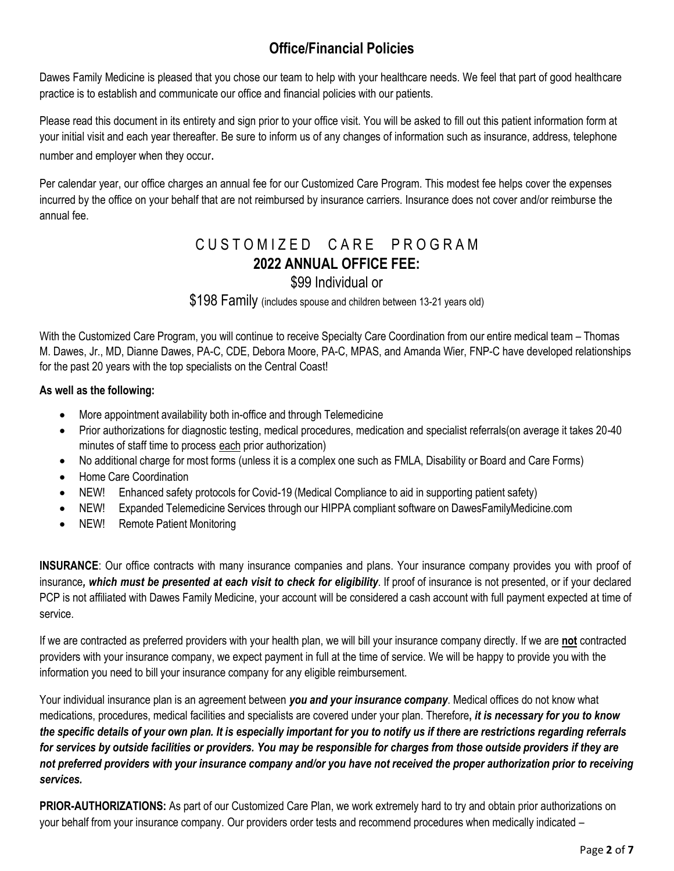# **Office/Financial Policies**

Dawes Family Medicine is pleased that you chose our team to help with your healthcare needs. We feel that part of good healthcare practice is to establish and communicate our office and financial policies with our patients.

Please read this document in its entirety and sign prior to your office visit. You will be asked to fill out this patient information form at your initial visit and each year thereafter. Be sure to inform us of any changes of information such as insurance, address, telephone number and employer when they occur.

Per calendar year, our office charges an annual fee for our Customized Care Program. This modest fee helps cover the expenses incurred by the office on your behalf that are not reimbursed by insurance carriers. Insurance does not cover and/or reimburse the annual fee.

# CUSTOMIZED CARE PROGRAM **2022 ANNUAL OFFICE FEE:**

### \$99 Individual or

\$198 Family (includes spouse and children between 13-21 years old)

With the Customized Care Program, you will continue to receive Specialty Care Coordination from our entire medical team – Thomas M. Dawes, Jr., MD, Dianne Dawes, PA-C, CDE, Debora Moore, PA-C, MPAS, and Amanda Wier, FNP-C have developed relationships for the past 20 years with the top specialists on the Central Coast!

### **As well as the following:**

- More appointment availability both in-office and through Telemedicine
- Prior authorizations for diagnostic testing, medical procedures, medication and specialist referrals(on average it takes 20-40 minutes of staff time to process each prior authorization)
- No additional charge for most forms (unless it is a complex one such as FMLA, Disability or Board and Care Forms)
- Home Care Coordination
- NEW! Enhanced safety protocols for Covid-19 (Medical Compliance to aid in supporting patient safety)
- NEW! Expanded Telemedicine Services through our HIPPA compliant software on DawesFamilyMedicine.com
- NEW! Remote Patient Monitoring

**INSURANCE**: Our office contracts with many insurance companies and plans. Your insurance company provides you with proof of insurance*, which must be presented at each visit to check for eligibility*. If proof of insurance is not presented, or if your declared PCP is not affiliated with Dawes Family Medicine, your account will be considered a cash account with full payment expected at time of service.

If we are contracted as preferred providers with your health plan, we will bill your insurance company directly. If we are **not** contracted providers with your insurance company, we expect payment in full at the time of service. We will be happy to provide you with the information you need to bill your insurance company for any eligible reimbursement.

Your individual insurance plan is an agreement between *you and your insurance company*. Medical offices do not know what medications, procedures, medical facilities and specialists are covered under your plan. Therefore**,** *it is necessary for you to know the specific details of your own plan. It is especially important for you to notify us if there are restrictions regarding referrals* for services by outside facilities or providers. You may be responsible for charges from those outside providers if they are *not preferred providers with your insurance company and/or you have not received the proper authorization prior to receiving services.*

**PRIOR-AUTHORIZATIONS:** As part of our Customized Care Plan, we work extremely hard to try and obtain prior authorizations on your behalf from your insurance company. Our providers order tests and recommend procedures when medically indicated –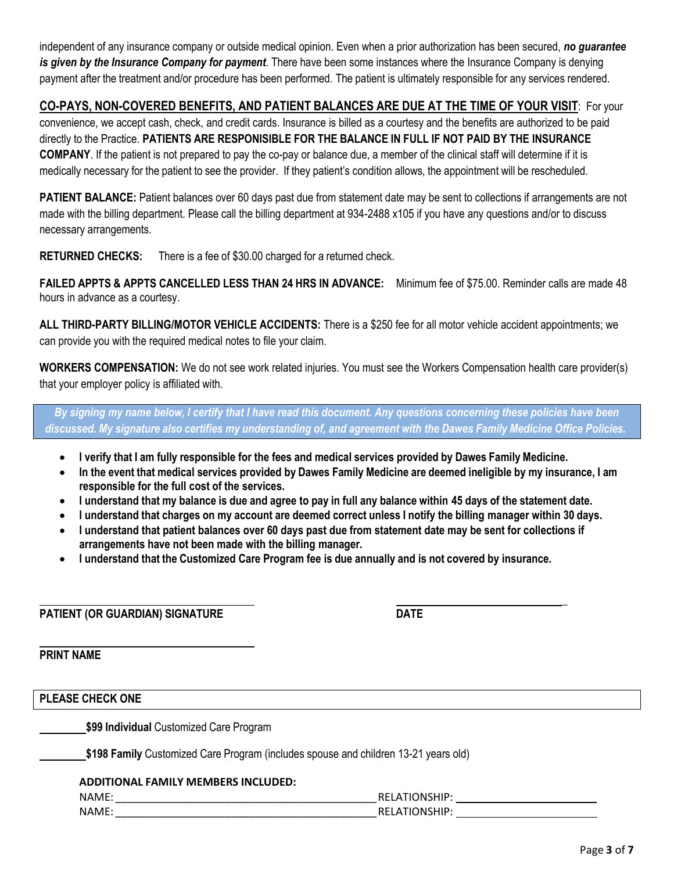independent of any insurance company or outside medical opinion. Even when a prior authorization has been secured, *no guarantee is given by the Insurance Company for payment*. There have been some instances where the Insurance Company is denying payment after the treatment and/or procedure has been performed. The patient is ultimately responsible for any services rendered.

#### **CO-PAYS, NON-COVERED BENEFITS, AND PATIENT BALANCES ARE DUE AT THE TIME OF YOUR VISIT**: For your

convenience, we accept cash, check, and credit cards. Insurance is billed as a courtesy and the benefits are authorized to be paid directly to the Practice. **PATIENTS ARE RESPONISIBLE FOR THE BALANCE IN FULL IF NOT PAID BY THE INSURANCE COMPANY**. If the patient is not prepared to pay the co-pay or balance due, a member of the clinical staff will determine if it is medically necessary for the patient to see the provider. If they patient's condition allows, the appointment will be rescheduled.

**PATIENT BALANCE:** Patient balances over 60 days past due from statement date may be sent to collections if arrangements are not made with the billing department. Please call the billing department at 934-2488 x105 if you have any questions and/or to discuss necessary arrangements.

**RETURNED CHECKS:** There is a fee of \$30.00 charged for a returned check.

**FAILED APPTS & APPTS CANCELLED LESS THAN 24 HRS IN ADVANCE:** Minimum fee of \$75.00. Reminder calls are made 48 hours in advance as a courtesy.

**ALL THIRD-PARTY BILLING/MOTOR VEHICLE ACCIDENTS:** There is a \$250 fee for all motor vehicle accident appointments; we can provide you with the required medical notes to file your claim.

**WORKERS COMPENSATION:** We do not see work related injuries. You must see the Workers Compensation health care provider(s) that your employer policy is affiliated with.

*By signing my name below, I certify that I have read this document. Any questions concerning these policies have been discussed. My signature also certifies my understanding of, and agreement with the Dawes Family Medicine Office Policies.*

- **I verify that I am fully responsible for the fees and medical services provided by Dawes Family Medicine.**
- **In the event that medical services provided by Dawes Family Medicine are deemed ineligible by my insurance, I am responsible for the full cost of the services.**
- I understand that my balance is due and agree to pay in full any balance within 45 days of the statement date.
- **I understand that charges on my account are deemed correct unless I notify the billing manager within 30 days.**
- **I understand that patient balances over 60 days past due from statement date may be sent for collections if arrangements have not been made with the billing manager.**
- **I understand that the Customized Care Program fee is due annually and is not covered by insurance.**

**PATIENT (OR GUARDIAN) SIGNATURE DATE**

**PRINT NAME**

**PLEASE CHECK ONE**

**\$99 Individual** Customized Care Program

**\$198 Family** Customized Care Program (includes spouse and children 13-21 years old)

#### **ADDITIONAL FAMILY MEMBERS INCLUDED:**

| <b>NAMF</b><br>__ | . .           |
|-------------------|---------------|
| <b>NAME</b>       | -<br>. .<br>. |

**\_**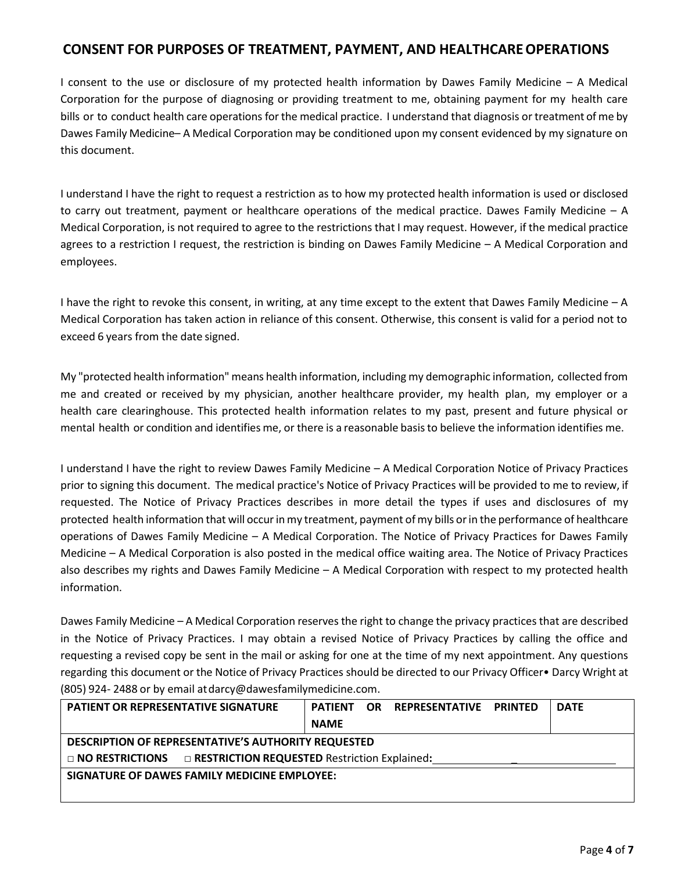### **CONSENT FOR PURPOSES OF TREATMENT, PAYMENT, AND HEALTHCAREOPERATIONS**

I consent to the use or disclosure of my protected health information by Dawes Family Medicine – A Medical Corporation for the purpose of diagnosing or providing treatment to me, obtaining payment for my health care bills or to conduct health care operations for the medical practice. I understand that diagnosis or treatment of me by Dawes Family Medicine– A Medical Corporation may be conditioned upon my consent evidenced by my signature on this document.

I understand I have the right to request a restriction as to how my protected health information is used or disclosed to carry out treatment, payment or healthcare operations of the medical practice. Dawes Family Medicine – A Medical Corporation, is not required to agree to the restrictions that I may request. However, if the medical practice agrees to a restriction I request, the restriction is binding on Dawes Family Medicine – A Medical Corporation and employees.

I have the right to revoke this consent, in writing, at any time except to the extent that Dawes Family Medicine – A Medical Corporation has taken action in reliance of this consent. Otherwise, this consent is valid for a period not to exceed 6 years from the date signed.

My "protected health information" means health information, including my demographic information, collected from me and created or received by my physician, another healthcare provider, my health plan, my employer or a health care clearinghouse. This protected health information relates to my past, present and future physical or mental health or condition and identifies me, or there is a reasonable basisto believe the information identifies me.

I understand I have the right to review Dawes Family Medicine – A Medical Corporation Notice of Privacy Practices prior to signing this document. The medical practice's Notice of Privacy Practices will be provided to me to review, if requested. The Notice of Privacy Practices describes in more detail the types if uses and disclosures of my protected health information that will occur in my treatment, payment of my bills or in the performance of healthcare operations of Dawes Family Medicine – A Medical Corporation. The Notice of Privacy Practices for Dawes Family Medicine – A Medical Corporation is also posted in the medical office waiting area. The Notice of Privacy Practices also describes my rights and Dawes Family Medicine – A Medical Corporation with respect to my protected health information.

Dawes Family Medicine – A Medical Corporation reserves the right to change the privacy practices that are described in the Notice of Privacy Practices. I may obtain a revised Notice of Privacy Practices by calling the office and requesting a revised copy be sent in the mail or asking for one at the time of my next appointment. Any questions regarding this document or the Notice of Privacy Practices should be directed to our Privacy Officer• Darcy Wright at (805) 924- 2488 or by email a[tdarcy@dawesfamilymedicine.com.](mailto:darcy@dawesfamilymedicine.com)

| <b>PATIENT OR REPRESENTATIVE SIGNATURE</b>                                 | <b>PATIENT</b> | OR. | REPRESENTATIVE | <b>PRINTED</b> | <b>DATE</b> |  |
|----------------------------------------------------------------------------|----------------|-----|----------------|----------------|-------------|--|
|                                                                            | <b>NAME</b>    |     |                |                |             |  |
| DESCRIPTION OF REPRESENTATIVE'S AUTHORITY REQUESTED                        |                |     |                |                |             |  |
| $\Box$ NO RESTRICTIONS $\Box$ RESTRICTION REQUESTED Restriction Explained: |                |     |                |                |             |  |
| SIGNATURE OF DAWES FAMILY MEDICINE EMPLOYEE:                               |                |     |                |                |             |  |
|                                                                            |                |     |                |                |             |  |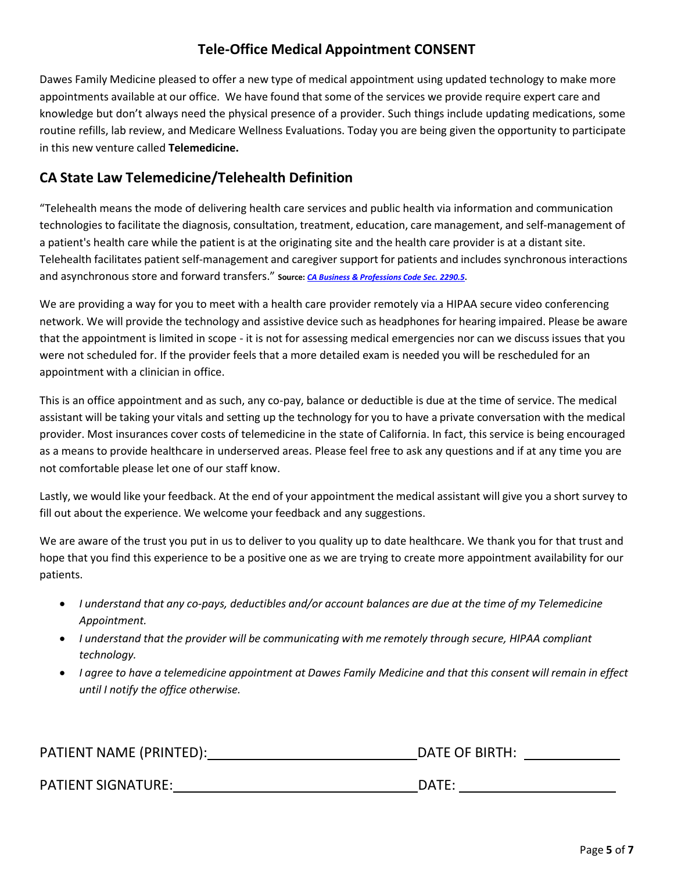# **Tele-Office Medical Appointment CONSENT**

Dawes Family Medicine pleased to offer a new type of medical appointment using updated technology to make more appointments available at our office. We have found that some of the services we provide require expert care and knowledge but don't always need the physical presence of a provider. Such things include updating medications, some routine refills, lab review, and Medicare Wellness Evaluations. Today you are being given the opportunity to participate in this new venture called **Telemedicine.**

# **CA State Law Telemedicine/Telehealth Definition**

"Telehealth means the mode of delivering health care services and public health via information and communication technologies to facilitate the diagnosis, consultation, treatment, education, care management, and self-management of a patient's health care while the patient is at the originating site and the health care provider is at a distant site. Telehealth facilitates patient self-management and caregiver support for patients and includes synchronous interactions and asynchronous store and forward transfers." **Source:** *CA Business & [Professions](https://leginfo.legislature.ca.gov/faces/codes_displayText.xhtml?lawCode=BPC&division=2.&title&part&chapter=5.&article=12) Code Sec. 2290.5***.**

We are providing a way for you to meet with a health care provider remotely via a HIPAA secure video conferencing network. We will provide the technology and assistive device such as headphones for hearing impaired. Please be aware that the appointment is limited in scope - it is not for assessing medical emergencies nor can we discuss issues that you were not scheduled for. If the provider feels that a more detailed exam is needed you will be rescheduled for an appointment with a clinician in office.

This is an office appointment and as such, any co-pay, balance or deductible is due at the time of service. The medical assistant will be taking your vitals and setting up the technology for you to have a private conversation with the medical provider. Most insurances cover costs of telemedicine in the state of California. In fact, this service is being encouraged as a means to provide healthcare in underserved areas. Please feel free to ask any questions and if at any time you are not comfortable please let one of our staff know.

Lastly, we would like your feedback. At the end of your appointment the medical assistant will give you a short survey to fill out about the experience. We welcome your feedback and any suggestions.

We are aware of the trust you put in us to deliver to you quality up to date healthcare. We thank you for that trust and hope that you find this experience to be a positive one as we are trying to create more appointment availability for our patients.

- *I understand that any co-pays, deductibles and/or account balances are due at the time of my Telemedicine Appointment.*
- *I understand that the provider will be communicating with me remotely through secure, HIPAA compliant technology.*
- I agree to have a telemedicine appointment at Dawes Family Medicine and that this consent will remain in effect *until I notify the office otherwise.*

| PATIENT NAME (PRINTED):   | DATE OF BIRTH: |
|---------------------------|----------------|
|                           |                |
| <b>PATIENT SIGNATURE:</b> | DATE:          |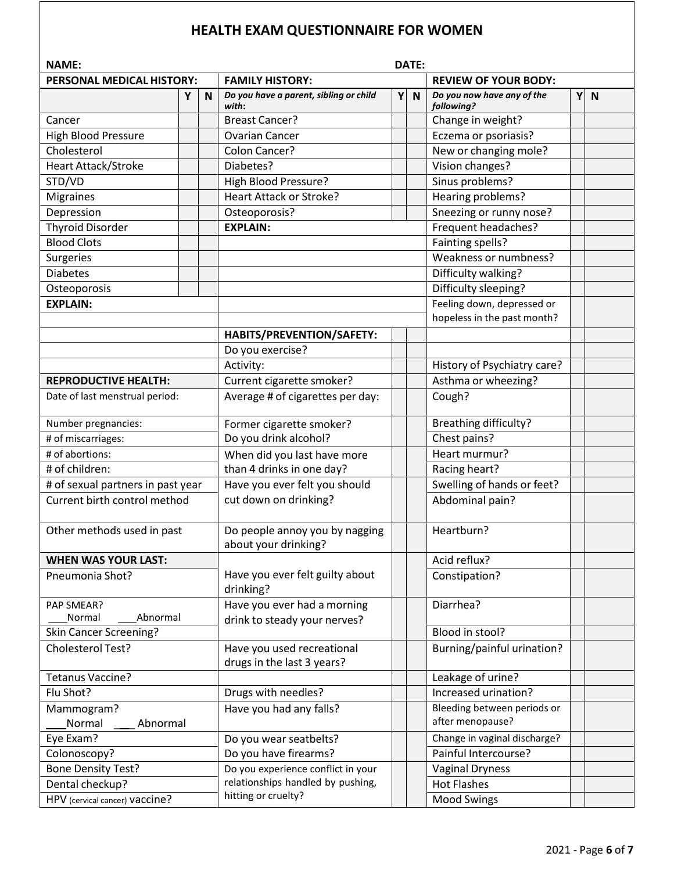### **HEALTH EXAM QUESTIONNAIRE FOR WOMEN**

| Y | $\mathbf N$ |
|---|-------------|
|   |             |
|   |             |
|   |             |
|   |             |
|   |             |
|   |             |
|   |             |
|   |             |
|   |             |
|   |             |
|   |             |
|   |             |
|   |             |
|   |             |
|   |             |
|   |             |
|   |             |
|   |             |
|   |             |
|   |             |
|   |             |
|   |             |
|   |             |
|   |             |
|   |             |
|   |             |
|   |             |
|   |             |
|   |             |
|   |             |
|   |             |
|   |             |
|   |             |
|   |             |
|   |             |
|   |             |
|   |             |
|   |             |
|   |             |
|   |             |